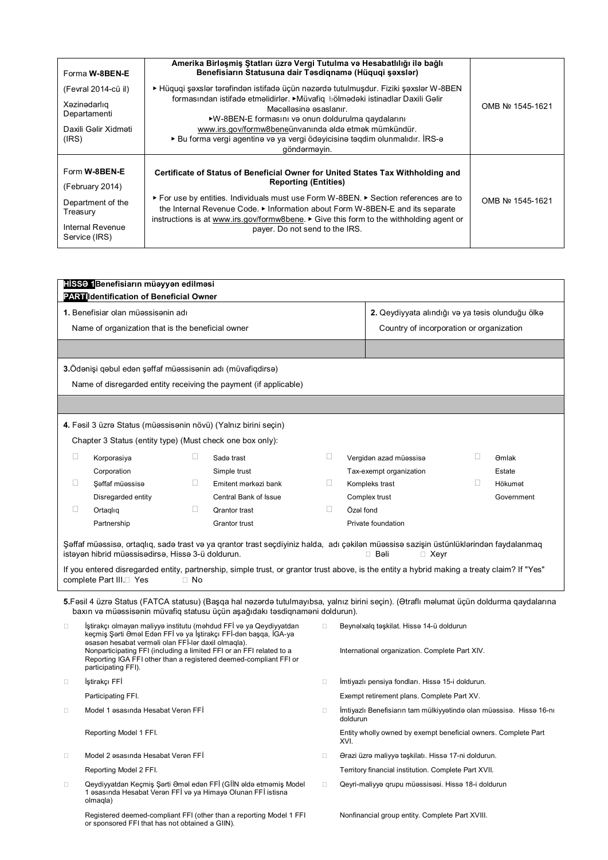| Forma W-8BEN-E                    | Amerika Birləşmiş Ştatları üzrə Vergi Tutulma və Hesabatlılığı ilə bağlı<br>Benefisiarın Statusuna dair Təsdiqnamə (Hüquqi şəxslər)                                                                                                                              |                  |
|-----------------------------------|------------------------------------------------------------------------------------------------------------------------------------------------------------------------------------------------------------------------------------------------------------------|------------------|
| (Fevral 2014-cü il)               | ► Hüquqi şəxslər tərəfindən istifadə üçün nəzərdə tutulmuşdur. Fiziki şəxslər W-8BEN                                                                                                                                                                             |                  |
| Xəzinədarlıq<br>Departamenti      | formasından istifadə etməlidirlər. ▶ Müvafiq bölmədəki istinadlar Daxili Gəlir<br>Məcəlləsinə əsaslanır.<br>►W-8BEN-E formasını və onun doldurulma qaydalarını                                                                                                   | OMB Nº 1545-1621 |
| Daxili Gəlir Xidməti<br>(IRS)     | www.irs.gov/formw8beneünvanında əldə etmək mümkündür.<br>► Bu forma vergi agentinə və ya vergi ödəyicisinə təqdim olunmalıdır. İRS-ə                                                                                                                             |                  |
|                                   | göndərməyin.                                                                                                                                                                                                                                                     |                  |
|                                   |                                                                                                                                                                                                                                                                  |                  |
| Form W-8BEN-E                     | Certificate of Status of Beneficial Owner for United States Tax Withholding and<br><b>Reporting (Entities)</b>                                                                                                                                                   |                  |
| (February 2014)                   |                                                                                                                                                                                                                                                                  |                  |
| Department of the<br>Treasury     | ► For use by entities. Individuals must use Form W-8BEN. ► Section references are to<br>the Internal Revenue Code. ► Information about Form W-8BEN-E and its separate<br>instructions is at www.irs.gov/formw8bene. ► Give this form to the withholding agent or | OMB Nº 1545-1621 |
| Internal Revenue<br>Service (IRS) | payer. Do not send to the IRS.                                                                                                                                                                                                                                   |                  |

| HISS <sub>e</sub> 1Benefisiarın müəyyən edilməsi<br><b>PART</b> Identification of Beneficial Owner                                                                                                                                                                                                                                                                                                                           |                                                                                                                                              |        |                                                                     |                                                      |                                                                                 |   |              |
|------------------------------------------------------------------------------------------------------------------------------------------------------------------------------------------------------------------------------------------------------------------------------------------------------------------------------------------------------------------------------------------------------------------------------|----------------------------------------------------------------------------------------------------------------------------------------------|--------|---------------------------------------------------------------------|------------------------------------------------------|---------------------------------------------------------------------------------|---|--------------|
| 1. Benefisiar olan müəssisənin adı                                                                                                                                                                                                                                                                                                                                                                                           |                                                                                                                                              |        |                                                                     |                                                      | 2. Qeydiyyata alındığı və ya təsis olunduğu ölkə                                |   |              |
|                                                                                                                                                                                                                                                                                                                                                                                                                              | Name of organization that is the beneficial owner                                                                                            |        |                                                                     |                                                      | Country of incorporation or organization                                        |   |              |
|                                                                                                                                                                                                                                                                                                                                                                                                                              |                                                                                                                                              |        |                                                                     |                                                      |                                                                                 |   |              |
|                                                                                                                                                                                                                                                                                                                                                                                                                              | 3. Ödənişi qəbul edən şəffaf müəssisənin adı (müvafiqdirsə)                                                                                  |        |                                                                     |                                                      |                                                                                 |   |              |
|                                                                                                                                                                                                                                                                                                                                                                                                                              |                                                                                                                                              |        | Name of disregarded entity receiving the payment (if applicable)    |                                                      |                                                                                 |   |              |
|                                                                                                                                                                                                                                                                                                                                                                                                                              |                                                                                                                                              |        |                                                                     |                                                      |                                                                                 |   |              |
|                                                                                                                                                                                                                                                                                                                                                                                                                              | 4. Fəsil 3 üzrə Status (müəssisənin növü) (Yalnız birini seçin)                                                                              |        |                                                                     |                                                      |                                                                                 |   |              |
|                                                                                                                                                                                                                                                                                                                                                                                                                              | Chapter 3 Status (entity type) (Must check one box only):                                                                                    |        |                                                                     |                                                      |                                                                                 |   |              |
| □                                                                                                                                                                                                                                                                                                                                                                                                                            | Korporasiya                                                                                                                                  | □      | Sade trast                                                          | O                                                    | Vergiden azad müessise                                                          | 0 | <b>Əmlak</b> |
|                                                                                                                                                                                                                                                                                                                                                                                                                              | Corporation                                                                                                                                  |        | Simple trust                                                        |                                                      | Tax-exempt organization                                                         |   | Estate       |
| □                                                                                                                                                                                                                                                                                                                                                                                                                            | Şəffaf müəssisə                                                                                                                              | $\Box$ | Emitent mərkəzi bank                                                | ⊔                                                    | Kompleks trast                                                                  | П | Hökumət      |
|                                                                                                                                                                                                                                                                                                                                                                                                                              | Disregarded entity                                                                                                                           |        | Central Bank of Issue                                               |                                                      | Complex trust                                                                   |   | Government   |
| □                                                                                                                                                                                                                                                                                                                                                                                                                            | Ortaglig                                                                                                                                     | □      | <b>Qrantor trast</b>                                                | □                                                    | Özəl fond                                                                       |   |              |
|                                                                                                                                                                                                                                                                                                                                                                                                                              | Partnership                                                                                                                                  |        | Grantor trust                                                       |                                                      | Private foundation                                                              |   |              |
| Şəffaf müəssisə, ortaqlıq, sadə trast və ya qrantor trast seçdiyiniz halda, adı çəkilən müəssisə sazişin üstünlüklərindən faydalanmaq<br>istəyən hibrid müəssisədirsə, Hissə 3-ü doldurun.<br>$\Box$ Bəli<br>$\Box$ Xeyr<br>If you entered disregarded entity, partnership, simple trust, or grantor trust above, is the entity a hybrid making a treaty claim? If "Yes"<br>complete Part III. <sup>1</sup> Yes<br>$\Box$ No |                                                                                                                                              |        |                                                                     |                                                      |                                                                                 |   |              |
| 5.Fəsil 4 üzrə Status (FATCA statusu) (Başqa hal nəzərdə tutulmayıbsa, yalnız birini seçin). (Ətraflı məlumat üçün doldurma qaydalarına<br>baxın və müəssisənin müvafiq statusu üçün aşağıdakı təsdiqnaməni doldurun).                                                                                                                                                                                                       |                                                                                                                                              |        |                                                                     |                                                      |                                                                                 |   |              |
| İştirakçı olmayan maliyyə institutu (məhdud FFİ və ya Qeydiyyatdan<br>$\Box$<br>keçmiş Şərti Əməl Edən FFİ və ya İştirakçı FFİ-dən başqa, İGA-ya<br>esasen hesabat vermeli olan FFİ-ler daxil olmaqla).<br>Nonparticipating FFI (including a limited FFI or an FFI related to a<br>Reporting IGA FFI other than a registered deemed-compliant FFI or<br>participating FFI).                                                  |                                                                                                                                              |        | $\Box$                                                              | Beynəlxalq təşkilat. Hissə 14-ü doldurun             |                                                                                 |   |              |
|                                                                                                                                                                                                                                                                                                                                                                                                                              |                                                                                                                                              |        |                                                                     | International organization. Complete Part XIV.       |                                                                                 |   |              |
| $\Box$                                                                                                                                                                                                                                                                                                                                                                                                                       | İştirakçı FFİ                                                                                                                                |        |                                                                     | $\Box$                                               | İmtiyazlı pensiya fondları. Hissə 15-i doldurun.                                |   |              |
|                                                                                                                                                                                                                                                                                                                                                                                                                              | Participating FFI.                                                                                                                           |        |                                                                     |                                                      | Exempt retirement plans. Complete Part XV.                                      |   |              |
| о                                                                                                                                                                                                                                                                                                                                                                                                                            | Model 1 asasında Hesabat Veran FFİ                                                                                                           |        |                                                                     | $\Box$                                               | İmtiyazlı Benefisiarın tam mülkiyyətində olan müəssisə. Hissə 16-nı<br>doldurun |   |              |
|                                                                                                                                                                                                                                                                                                                                                                                                                              | Reporting Model 1 FFI.                                                                                                                       |        |                                                                     |                                                      | Entity wholly owned by exempt beneficial owners. Complete Part<br>XVI.          |   |              |
| о                                                                                                                                                                                                                                                                                                                                                                                                                            | Model 2 asasında Hesabat Veran FFI                                                                                                           |        |                                                                     | $\Box$                                               | Orazi üzrə maliyyə təşkilatı. Hissə 17-ni doldurun.                             |   |              |
| Reporting Model 2 FFI.                                                                                                                                                                                                                                                                                                                                                                                                       |                                                                                                                                              |        |                                                                     | Territory financial institution. Complete Part XVII. |                                                                                 |   |              |
| о                                                                                                                                                                                                                                                                                                                                                                                                                            | Qeydiyyatdan Keçmiş Şərti Əməl edən FFİ (GİİN əldə etməmiş Model<br>1 əsasında Hesabat Verən FFİ və ya Himayə Olunan FFİ istisna<br>olmagla) |        |                                                                     | $\Box$                                               | Qeyri-maliyyə qrupu müəssisəsi. Hissə 18-i doldurun                             |   |              |
|                                                                                                                                                                                                                                                                                                                                                                                                                              | or sponsored FFI that has not obtained a GIIN).                                                                                              |        | Registered deemed-compliant FFI (other than a reporting Model 1 FFI |                                                      | Nonfinancial group entity. Complete Part XVIII.                                 |   |              |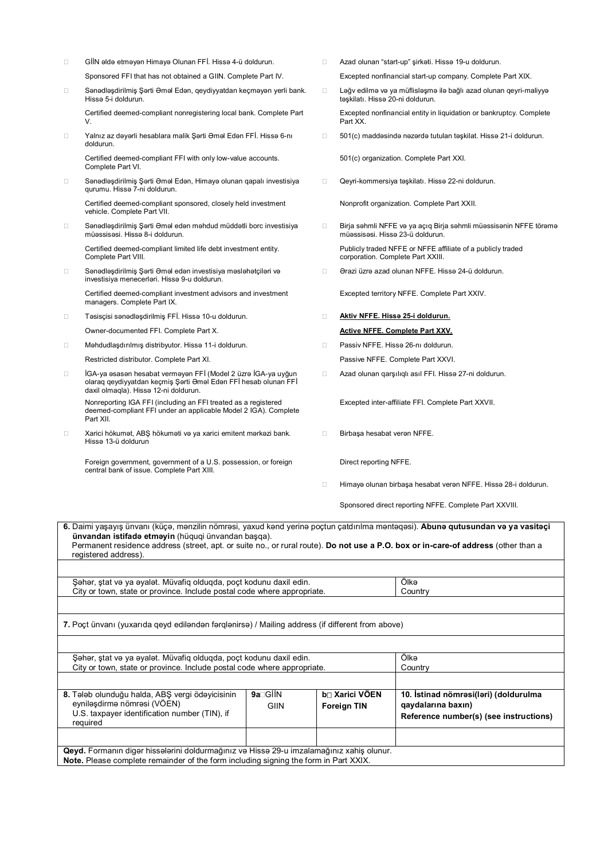| $\Box$                                                                                                                                                                           | GIIN alda etmayan Himaya Olunan FFI. Hissa 4-ü doldurun.                                                                                                                                                         |             | $\Box$                                |                                                                                                       | Azad olunan "start-up" şirkəti. Hissə 19-u doldurun.                                                  |  |
|----------------------------------------------------------------------------------------------------------------------------------------------------------------------------------|------------------------------------------------------------------------------------------------------------------------------------------------------------------------------------------------------------------|-------------|---------------------------------------|-------------------------------------------------------------------------------------------------------|-------------------------------------------------------------------------------------------------------|--|
|                                                                                                                                                                                  | Sponsored FFI that has not obtained a GIIN. Complete Part IV.                                                                                                                                                    |             |                                       |                                                                                                       | Excepted nonfinancial start-up company. Complete Part XIX.                                            |  |
| $\Box$                                                                                                                                                                           | Sənədləşdirilmiş Şərti Əməl Edən, qeydiyyatdan keçməyən yerli bank.<br>Hissə 5-i doldurun.                                                                                                                       |             | $\Box$                                | Ləğv edilmə və ya müflisləşmə ilə bağlı azad olunan qeyri-maliyyə<br>təşkilatı. Hissə 20-ni doldurun. |                                                                                                       |  |
|                                                                                                                                                                                  | Certified deemed-compliant nonregistering local bank. Complete Part<br>V.                                                                                                                                        |             |                                       | Part XX.                                                                                              | Excepted nonfinancial entity in liquidation or bankruptcy. Complete                                   |  |
| о                                                                                                                                                                                | Yalnız az dəyərli hesablara malik Şərti Əməl Edən FFİ. Hissə 6-nı<br>doldurun.                                                                                                                                   |             | $\Box$                                |                                                                                                       | 501(c) maddəsində nəzərdə tutulan təşkilat. Hissə 21-i doldurun.                                      |  |
|                                                                                                                                                                                  | Certified deemed-compliant FFI with only low-value accounts.<br>Complete Part VI.                                                                                                                                |             |                                       |                                                                                                       | 501(c) organization. Complete Part XXI.                                                               |  |
| $\Box$                                                                                                                                                                           | Sənədləşdirilmiş Şərti Əməl Edən, Himayə olunan qapalı investisiya<br>qurumu. Hissa 7-ni doldurun.                                                                                                               |             | $\Box$                                |                                                                                                       | Qeyri-kommersiya təşkilatı. Hissə 22-ni doldurun.                                                     |  |
|                                                                                                                                                                                  | Certified deemed-compliant sponsored, closely held investment<br>vehicle. Complete Part VII.                                                                                                                     |             |                                       |                                                                                                       | Nonprofit organization. Complete Part XXII.                                                           |  |
| $\Box$                                                                                                                                                                           | Sənədləşdirilmiş Şərti Əməl edən məhdud müddətli borc investisiya<br>müəssisəsi. Hissə 8-i doldurun.                                                                                                             |             | $\Box$                                | Birja səhmli NFFE və ya açıq Birja səhmli müəssisənin NFFE törəmə<br>müəssisəsi. Hissə 23-ü doldurun. |                                                                                                       |  |
|                                                                                                                                                                                  | Certified deemed-compliant limited life debt investment entity.<br>Complete Part VIII.                                                                                                                           |             |                                       | Publicly traded NFFE or NFFE affiliate of a publicly traded<br>corporation. Complete Part XXIII.      |                                                                                                       |  |
| $\Box$                                                                                                                                                                           | Sənədləşdirilmiş Şərti Əməl edən investisiya məsləhətçiləri və<br>investisiya menecerləri. Hissə 9-u doldurun.                                                                                                   |             | $\Box$                                | Orazi üzrə azad olunan NFFE. Hissə 24-ü doldurun.                                                     |                                                                                                       |  |
|                                                                                                                                                                                  | Certified deemed-compliant investment advisors and investment<br>managers. Complete Part IX.                                                                                                                     |             |                                       | Excepted territory NFFE. Complete Part XXIV.                                                          |                                                                                                       |  |
| $\Box$                                                                                                                                                                           | Təsisçisi sənədləşdirilmiş FFİ. Hissə 10-u doldurun.                                                                                                                                                             |             | $\Box$                                | <u>Aktiv NFFE. Hissə 25-i doldurun.</u>                                                               |                                                                                                       |  |
|                                                                                                                                                                                  | Owner-documented FFI. Complete Part X.                                                                                                                                                                           |             |                                       |                                                                                                       | <b>Active NFFE. Complete Part XXV.</b>                                                                |  |
| $\Box$                                                                                                                                                                           | Məhdudlaşdırılmış distribyutor. Hissə 11-i doldurun.                                                                                                                                                             |             | $\Box$                                |                                                                                                       | Passiv NFFE. Hissa 26-ni doldurun.                                                                    |  |
|                                                                                                                                                                                  | Restricted distributor. Complete Part XI.                                                                                                                                                                        |             |                                       | Passive NFFE. Complete Part XXVI.                                                                     |                                                                                                       |  |
| $\Box$                                                                                                                                                                           | İGA-ya əsasən hesabat verməyən FFİ (Model 2 üzrə İGA-ya uyğun<br>olaraq qeydiyyatdan keçmiş Şarti Əməl Edən FFİ hesab olunan FFİ<br>daxil olmaqla). Hissa 12-ni doldurun.                                        |             | $\Box$                                | Azad olunan qarşılıqlı asıl FFI. Hissə 27-ni doldurun.                                                |                                                                                                       |  |
|                                                                                                                                                                                  | Nonreporting IGA FFI (including an FFI treated as a registered<br>deemed-compliant FFI under an applicable Model 2 IGA). Complete<br>Part XII.                                                                   |             |                                       | Excepted inter-affiliate FFI. Complete Part XXVII.                                                    |                                                                                                       |  |
| $\Box$                                                                                                                                                                           | Xarici hökumət, ABŞ hökuməti və ya xarici emitent mərkəzi bank.<br>Hissə 13-ü doldurun                                                                                                                           |             | Birbaşa hesabat veran NFFE.<br>$\Box$ |                                                                                                       |                                                                                                       |  |
|                                                                                                                                                                                  | Foreign government, government of a U.S. possession, or foreign<br>Direct reporting NFFE.<br>central bank of issue. Complete Part XIII.                                                                          |             |                                       |                                                                                                       |                                                                                                       |  |
|                                                                                                                                                                                  |                                                                                                                                                                                                                  |             | $\Box$                                |                                                                                                       | Himayə olunan birbaşa hesabat verən NFFE. Hissə 28-i doldurun.                                        |  |
|                                                                                                                                                                                  |                                                                                                                                                                                                                  |             |                                       |                                                                                                       | Sponsored direct reporting NFFE. Complete Part XXVIII.                                                |  |
|                                                                                                                                                                                  | 6. Daimi yaşayış ünvanı (küçə, mənzilin nömrəsi, yaxud kənd yerinə poçtun çatdırılma məntəqəsi). Abunə qutusundan və ya vasitəçi                                                                                 |             |                                       |                                                                                                       |                                                                                                       |  |
|                                                                                                                                                                                  | ünvandan istifadə etməyin (hüquqi ünvandan başqa).<br>Permanent residence address (street, apt. or suite no., or rural route). Do not use a P.O. box or in-care-of address (other than a<br>registered address). |             |                                       |                                                                                                       |                                                                                                       |  |
|                                                                                                                                                                                  |                                                                                                                                                                                                                  |             |                                       |                                                                                                       |                                                                                                       |  |
|                                                                                                                                                                                  | Şəhər, ştat və ya əyalət. Müvafiq olduqda, poçt kodunu daxil edin.<br>City or town, state or province. Include postal code where appropriate.                                                                    |             |                                       |                                                                                                       | Ölkə<br>Country                                                                                       |  |
|                                                                                                                                                                                  |                                                                                                                                                                                                                  |             |                                       |                                                                                                       |                                                                                                       |  |
| 7. Poçt ünvanı (yuxarıda qeyd ediləndən fərqlənirsə) / Mailing address (if different from above)                                                                                 |                                                                                                                                                                                                                  |             |                                       |                                                                                                       |                                                                                                       |  |
|                                                                                                                                                                                  |                                                                                                                                                                                                                  |             |                                       |                                                                                                       |                                                                                                       |  |
| Şəhər, ştat və ya əyalət. Müvafiq olduqda, poçt kodunu daxil edin.<br>City or town, state or province. Include postal code where appropriate.                                    |                                                                                                                                                                                                                  |             | Ölkə<br>Country                       |                                                                                                       |                                                                                                       |  |
|                                                                                                                                                                                  |                                                                                                                                                                                                                  |             |                                       |                                                                                                       |                                                                                                       |  |
|                                                                                                                                                                                  | 8. Tələb olunduğu halda, ABŞ vergi ödəyicisinin<br>9a <b>□G</b> ilN<br>eyniləşdirmə nömrəsi (VÖEN)<br>U.S. taxpayer identification number (TIN), if<br>required                                                  | <b>GIIN</b> |                                       | b⊡ Xarici VÖEN<br><b>Foreign TIN</b>                                                                  | 10. İstinad nömrəsi(ləri) (doldurulma<br>qaydalarına baxın)<br>Reference number(s) (see instructions) |  |
|                                                                                                                                                                                  |                                                                                                                                                                                                                  |             |                                       |                                                                                                       |                                                                                                       |  |
| Qeyd. Formanın digər hissələrini doldurmağınız və Hissə 29-u imzalamağınız xahiş olunur.<br>Note. Please complete remainder of the form including signing the form in Part XXIX. |                                                                                                                                                                                                                  |             |                                       |                                                                                                       |                                                                                                       |  |
|                                                                                                                                                                                  |                                                                                                                                                                                                                  |             |                                       |                                                                                                       |                                                                                                       |  |